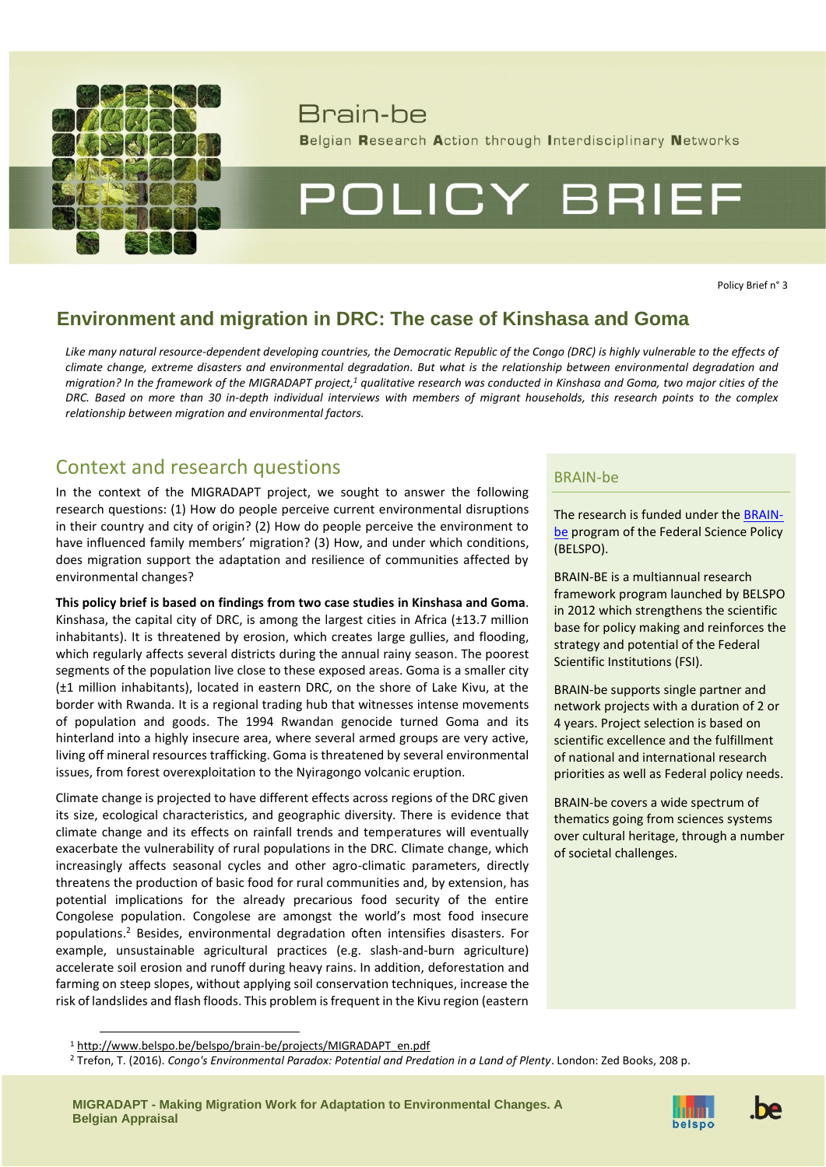

Brain-he Belgian Research Action through Interdisciplinary Networks

# POLICY BRIEF

Policy Brief n° 3

# **Environment and migration in DRC: The case of Kinshasa and Goma**

Like many natural resource-dependent developing countries, the Democratic Republic of the Congo (DRC) is highly vulnerable to the effects of *climate change, extreme disasters and environmental degradation. But what is the relationship between environmental degradation and migration? In the framework of the MIGRADAPT project, <sup>1</sup> qualitative research was conducted in Kinshasa and Goma, two major cities of the DRC. Based on more than 30 in-depth individual interviews with members of migrant households, this research points to the complex relationship between migration and environmental factors.* 

# Context and research questions and  $BRAIN-be$

In the context of the MIGRADAPT project, we sought to answer the following research questions: (1) How do people perceive current environmental disruptions in their country and city of origin? (2) How do people perceive the environment to have influenced family members' migration? (3) How, and under which conditions, does migration support the adaptation and resilience of communities affected by environmental changes?

**This policy brief is based on findings from two case studies in Kinshasa and Goma**. Kinshasa, the capital city of DRC, is among the largest cities in Africa ( $\pm$ 13.7 million inhabitants). It is threatened by erosion, which creates large gullies, and flooding, which regularly affects several districts during the annual rainy season. The poorest segments of the population live close to these exposed areas. Goma is a smaller city (±1 million inhabitants), located in eastern DRC, on the shore of Lake Kivu, at the border with Rwanda. It is a regional trading hub that witnesses intense movements of population and goods. The 1994 Rwandan genocide turned Goma and its hinterland into a highly insecure area, where several armed groups are very active, living off mineral resources trafficking. Goma is threatened by several environmental issues, from forest overexploitation to the Nyiragongo volcanic eruption.

Climate change is projected to have different effects across regions of the DRC given its size, ecological characteristics, and geographic diversity. There is evidence that climate change and its effects on rainfall trends and temperatures will eventually exacerbate the vulnerability of rural populations in the DRC. Climate change, which increasingly affects seasonal cycles and other agro-climatic parameters, directly threatens the production of basic food for rural communities and, by extension, has potential implications for the already precarious food security of the entire Congolese population. Congolese are amongst the world's most food insecure populations. <sup>2</sup> Besides, environmental degradation often intensifies disasters. For example, unsustainable agricultural practices (e.g. slash-and-burn agriculture) accelerate soil erosion and runoff during heavy rains. In addition, deforestation and farming on steep slopes, without applying soil conservation techniques, increase the risk of landslides and flash floods. This problem is frequent in the Kivu region (eastern

The research is funded under the [BRAIN](http://www.belspo.be/brain-be/)[be](http://www.belspo.be/brain-be/) program of the Federal Science Policy (BELSPO).

BRAIN-BE is a multiannual research framework program launched by BELSPO in 2012 which strengthens the scientific base for policy making and reinforces the strategy and potential of the Federal Scientific Institutions (FSI).

BRAIN-be supports single partner and network projects with a duration of 2 or 4 years. Project selection is based on scientific excellence and the fulfillment of national and international research priorities as well as Federal policy needs.

BRAIN-be covers a wide spectrum of thematics going from sciences systems over cultural heritage, through a number of societal challenges.





<sup>1</sup> [http://www.belspo.be/belspo/brain-be/projects/MIGRADAPT\\_en.pdf](http://www.belspo.be/belspo/brain-be/projects/MIGRADAPT_en.pdf)

<sup>2</sup> Trefon, T. (2016). *Congo's Environmental Paradox: Potential and Predation in a Land of Plenty*. London: Zed Books, 208 p.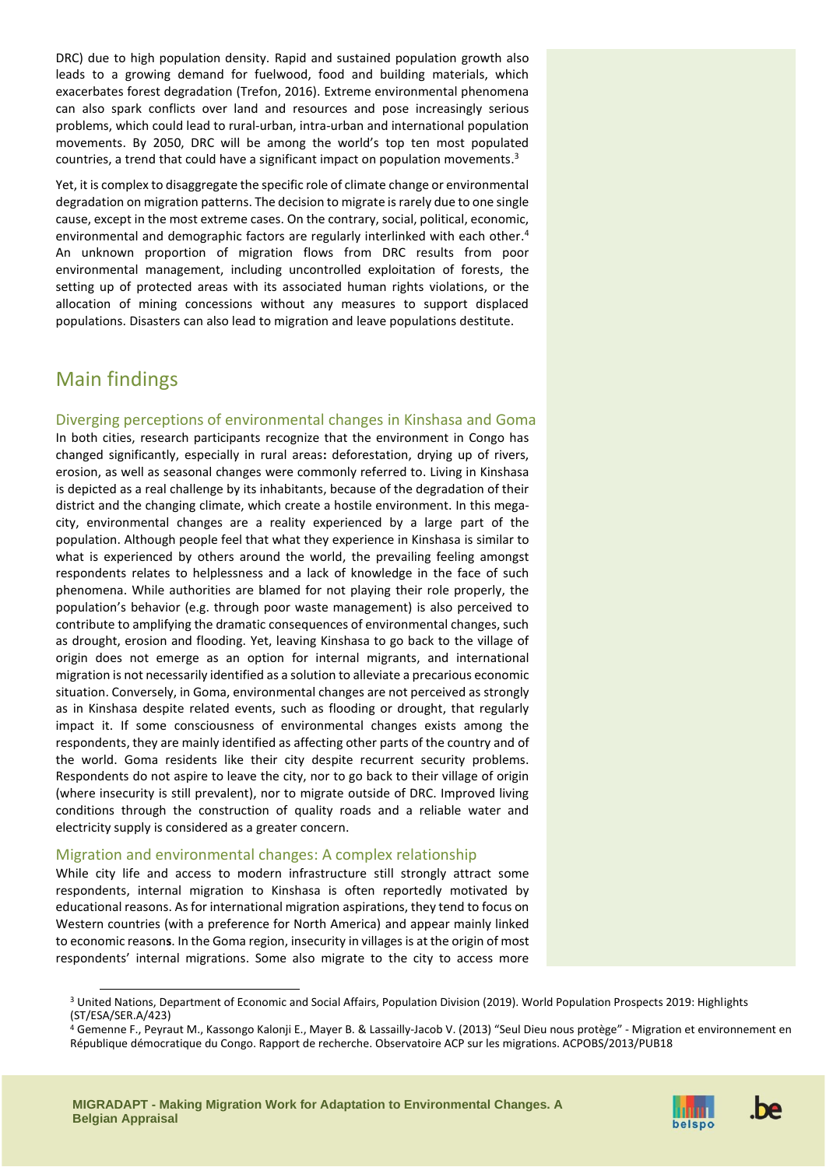DRC) due to high population density. Rapid and sustained population growth also leads to a growing demand for fuelwood, food and building materials, which exacerbates forest degradation (Trefon, 2016). Extreme environmental phenomena can also spark conflicts over land and resources and pose increasingly serious problems, which could lead to rural-urban, intra-urban and international population movements. By 2050, DRC will be among the world's top ten most populated countries, a trend that could have a significant impact on population movements.<sup>3</sup>

Yet, it is complex to disaggregate the specific role of climate change or environmental degradation on migration patterns. The decision to migrate is rarely due to one single cause, except in the most extreme cases. On the contrary, social, political, economic, environmental and demographic factors are regularly interlinked with each other. 4 An unknown proportion of migration flows from DRC results from poor environmental management, including uncontrolled exploitation of forests, the setting up of protected areas with its associated human rights violations, or the allocation of mining concessions without any measures to support displaced populations. Disasters can also lead to migration and leave populations destitute.

# Main findings

Diverging perceptions of environmental changes in Kinshasa and Goma In both cities, research participants recognize that the environment in Congo has changed significantly, especially in rural areas**:** deforestation, drying up of rivers, erosion, as well as seasonal changes were commonly referred to. Living in Kinshasa is depicted as a real challenge by its inhabitants, because of the degradation of their district and the changing climate, which create a hostile environment. In this megacity, environmental changes are a reality experienced by a large part of the population. Although people feel that what they experience in Kinshasa is similar to what is experienced by others around the world, the prevailing feeling amongst respondents relates to helplessness and a lack of knowledge in the face of such phenomena. While authorities are blamed for not playing their role properly, the population's behavior (e.g. through poor waste management) is also perceived to contribute to amplifying the dramatic consequences of environmental changes, such as drought, erosion and flooding. Yet, leaving Kinshasa to go back to the village of origin does not emerge as an option for internal migrants, and international migration is not necessarily identified as a solution to alleviate a precarious economic situation. Conversely, in Goma, environmental changes are not perceived as strongly as in Kinshasa despite related events, such as flooding or drought, that regularly impact it. If some consciousness of environmental changes exists among the respondents, they are mainly identified as affecting other parts of the country and of the world. Goma residents like their city despite recurrent security problems. Respondents do not aspire to leave the city, nor to go back to their village of origin (where insecurity is still prevalent), nor to migrate outside of DRC. Improved living conditions through the construction of quality roads and a reliable water and electricity supply is considered as a greater concern.

### Migration and environmental changes: A complex relationship

While city life and access to modern infrastructure still strongly attract some respondents, internal migration to Kinshasa is often reportedly motivated by educational reasons. As for international migration aspirations, they tend to focus on Western countries (with a preference for North America) and appear mainly linked to economic reason**s**. In the Goma region, insecurity in villages is at the origin of most respondents' internal migrations. Some also migrate to the city to access more



<sup>3</sup> United Nations, Department of Economic and Social Affairs, Population Division (2019). World Population Prospects 2019: Highlights (ST/ESA/SER.A/423)

<sup>4</sup> Gemenne F., Peyraut M., Kassongo Kalonji E., Mayer B. & Lassailly-Jacob V. (2013) "Seul Dieu nous protège" - Migration et environnement en République démocratique du Congo. Rapport de recherche. Observatoire ACP sur les migrations. ACPOBS/2013/PUB18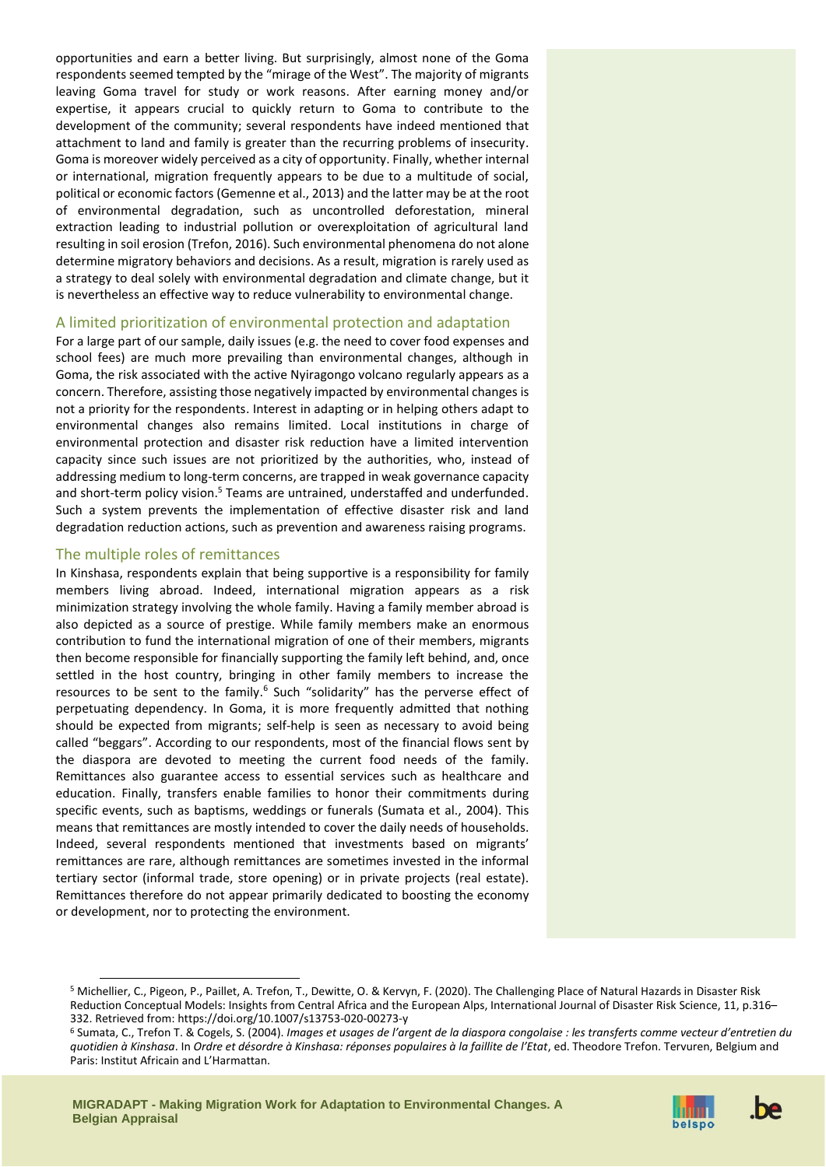opportunities and earn a better living. But surprisingly, almost none of the Goma respondents seemed tempted by the "mirage of the West". The majority of migrants leaving Goma travel for study or work reasons. After earning money and/or expertise, it appears crucial to quickly return to Goma to contribute to the development of the community; several respondents have indeed mentioned that attachment to land and family is greater than the recurring problems of insecurity. Goma is moreover widely perceived as a city of opportunity. Finally, whether internal or international, migration frequently appears to be due to a multitude of social, political or economic factors (Gemenne et al., 2013) and the latter may be at the root of environmental degradation, such as uncontrolled deforestation, mineral extraction leading to industrial pollution or overexploitation of agricultural land resulting in soil erosion (Trefon, 2016). Such environmental phenomena do not alone determine migratory behaviors and decisions. As a result, migration is rarely used as a strategy to deal solely with environmental degradation and climate change, but it is nevertheless an effective way to reduce vulnerability to environmental change.

#### A limited prioritization of environmental protection and adaptation

For a large part of our sample, daily issues (e.g. the need to cover food expenses and school fees) are much more prevailing than environmental changes, although in Goma, the risk associated with the active Nyiragongo volcano regularly appears as a concern. Therefore, assisting those negatively impacted by environmental changes is not a priority for the respondents. Interest in adapting or in helping others adapt to environmental changes also remains limited. Local institutions in charge of environmental protection and disaster risk reduction have a limited intervention capacity since such issues are not prioritized by the authorities, who, instead of addressing medium to long-term concerns, are trapped in weak governance capacity and short-term policy vision.<sup>5</sup> Teams are untrained, understaffed and underfunded. Such a system prevents the implementation of effective disaster risk and land degradation reduction actions, such as prevention and awareness raising programs.

### The multiple roles of remittances

In Kinshasa, respondents explain that being supportive is a responsibility for family members living abroad. Indeed, international migration appears as a risk minimization strategy involving the whole family. Having a family member abroad is also depicted as a source of prestige. While family members make an enormous contribution to fund the international migration of one of their members, migrants then become responsible for financially supporting the family left behind, and, once settled in the host country, bringing in other family members to increase the resources to be sent to the family.<sup>6</sup> Such "solidarity" has the perverse effect of perpetuating dependency. In Goma, it is more frequently admitted that nothing should be expected from migrants; self-help is seen as necessary to avoid being called "beggars". According to our respondents, most of the financial flows sent by the diaspora are devoted to meeting the current food needs of the family. Remittances also guarantee access to essential services such as healthcare and education. Finally, transfers enable families to honor their commitments during specific events, such as baptisms, weddings or funerals (Sumata et al., 2004). This means that remittances are mostly intended to cover the daily needs of households. Indeed, several respondents mentioned that investments based on migrants' remittances are rare, although remittances are sometimes invested in the informal tertiary sector (informal trade, store opening) or in private projects (real estate). Remittances therefore do not appear primarily dedicated to boosting the economy or development, nor to protecting the environment.



<sup>5</sup> Michellier, C., Pigeon, P., Paillet, A. Trefon, T., Dewitte, O. & Kervyn, F. (2020). The Challenging Place of Natural Hazards in Disaster Risk Reduction Conceptual Models: Insights from Central Africa and the European Alps, International Journal of Disaster Risk Science, 11, p.316– 332. Retrieved from: https://doi.org/10.1007/s13753-020-00273-y

<sup>6</sup> Sumata, C., Trefon T. & Cogels, S. (2004). *Images et usages de l'argent de la diaspora congolaise : les transferts comme vecteur d'entretien du quotidien à Kinshasa*. In *Ordre et désordre à Kinshasa: réponses populaires à la faillite de l'Etat*, ed. Theodore Trefon. Tervuren, Belgium and Paris: Institut Africain and L'Harmattan.